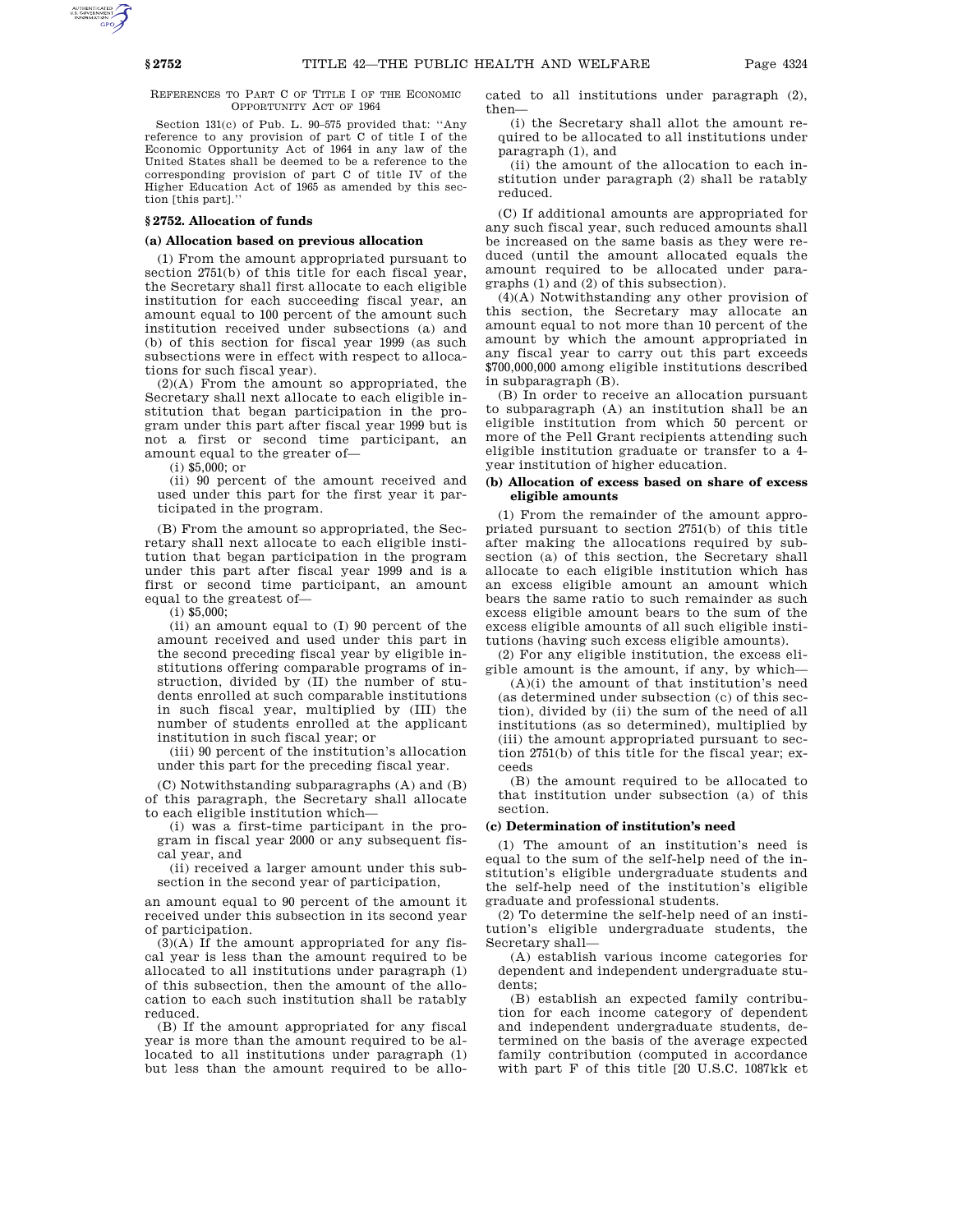REFERENCES TO PART C OF TITLE I OF THE ECONOMIC OPPORTUNITY ACT OF 1964

Section 131(c) of Pub. L. 90–575 provided that: ''Any reference to any provision of part C of title I of the Economic Opportunity Act of 1964 in any law of the United States shall be deemed to be a reference to the corresponding provision of part C of title IV of the Higher Education Act of 1965 as amended by this section [this part].''

# **§ 2752. Allocation of funds**

## **(a) Allocation based on previous allocation**

(1) From the amount appropriated pursuant to section 2751(b) of this title for each fiscal year, the Secretary shall first allocate to each eligible institution for each succeeding fiscal year, an amount equal to 100 percent of the amount such institution received under subsections (a) and (b) of this section for fiscal year 1999 (as such subsections were in effect with respect to allocations for such fiscal year).

(2)(A) From the amount so appropriated, the Secretary shall next allocate to each eligible institution that began participation in the program under this part after fiscal year 1999 but is not a first or second time participant, an amount equal to the greater of—

(i) \$5,000; or

(ii) 90 percent of the amount received and used under this part for the first year it participated in the program.

(B) From the amount so appropriated, the Secretary shall next allocate to each eligible institution that began participation in the program under this part after fiscal year 1999 and is a first or second time participant, an amount equal to the greatest of—

(i) \$5,000;

(ii) an amount equal to (I) 90 percent of the amount received and used under this part in the second preceding fiscal year by eligible institutions offering comparable programs of instruction, divided by (II) the number of students enrolled at such comparable institutions in such fiscal year, multiplied by (III) the number of students enrolled at the applicant institution in such fiscal year; or

(iii) 90 percent of the institution's allocation under this part for the preceding fiscal year.

(C) Notwithstanding subparagraphs (A) and (B) of this paragraph, the Secretary shall allocate to each eligible institution which—

(i) was a first-time participant in the program in fiscal year 2000 or any subsequent fiscal year, and

(ii) received a larger amount under this subsection in the second year of participation,

an amount equal to 90 percent of the amount it received under this subsection in its second year of participation.

(3)(A) If the amount appropriated for any fiscal year is less than the amount required to be allocated to all institutions under paragraph (1) of this subsection, then the amount of the allocation to each such institution shall be ratably reduced.

(B) If the amount appropriated for any fiscal year is more than the amount required to be allocated to all institutions under paragraph (1) but less than the amount required to be allocated to all institutions under paragraph (2), then—

(i) the Secretary shall allot the amount required to be allocated to all institutions under paragraph (1), and

(ii) the amount of the allocation to each institution under paragraph (2) shall be ratably reduced.

(C) If additional amounts are appropriated for any such fiscal year, such reduced amounts shall be increased on the same basis as they were reduced (until the amount allocated equals the amount required to be allocated under paragraphs (1) and (2) of this subsection).

(4)(A) Notwithstanding any other provision of this section, the Secretary may allocate an amount equal to not more than 10 percent of the amount by which the amount appropriated in any fiscal year to carry out this part exceeds \$700,000,000 among eligible institutions described in subparagraph (B).

(B) In order to receive an allocation pursuant to subparagraph (A) an institution shall be an eligible institution from which 50 percent or more of the Pell Grant recipients attending such eligible institution graduate or transfer to a 4 year institution of higher education.

## **(b) Allocation of excess based on share of excess eligible amounts**

(1) From the remainder of the amount appropriated pursuant to section 2751(b) of this title after making the allocations required by subsection (a) of this section, the Secretary shall allocate to each eligible institution which has an excess eligible amount an amount which bears the same ratio to such remainder as such excess eligible amount bears to the sum of the excess eligible amounts of all such eligible institutions (having such excess eligible amounts).

(2) For any eligible institution, the excess eligible amount is the amount, if any, by which—

(A)(i) the amount of that institution's need (as determined under subsection (c) of this section), divided by (ii) the sum of the need of all institutions (as so determined), multiplied by (iii) the amount appropriated pursuant to section 2751(b) of this title for the fiscal year; exceeds

(B) the amount required to be allocated to that institution under subsection (a) of this section.

### **(c) Determination of institution's need**

(1) The amount of an institution's need is equal to the sum of the self-help need of the institution's eligible undergraduate students and the self-help need of the institution's eligible graduate and professional students.

(2) To determine the self-help need of an institution's eligible undergraduate students, the Secretary shall—

(A) establish various income categories for dependent and independent undergraduate students;

(B) establish an expected family contribution for each income category of dependent and independent undergraduate students, determined on the basis of the average expected family contribution (computed in accordance with part F of this title [20 U.S.C. 1087kk et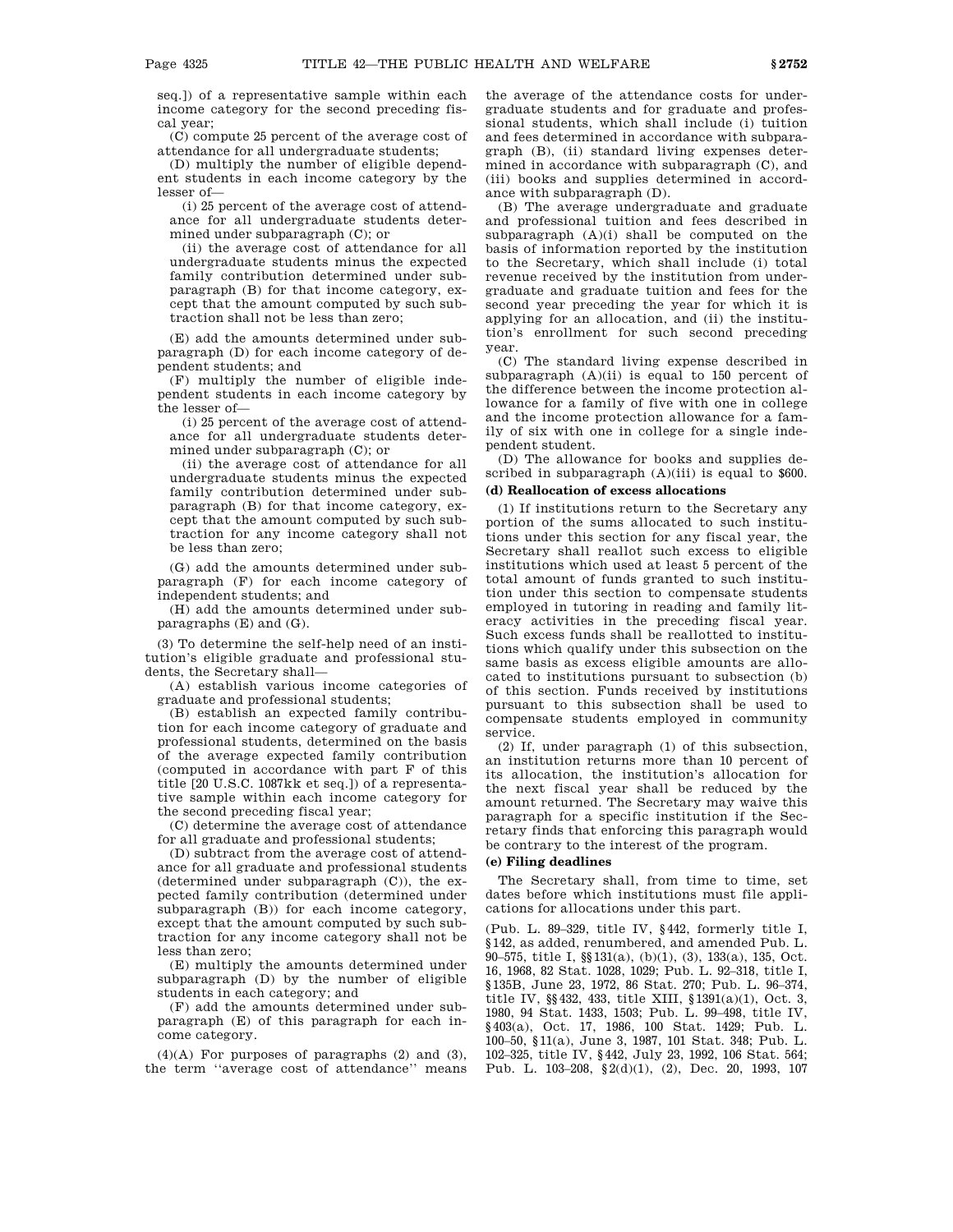seq.]) of a representative sample within each income category for the second preceding fiscal year;

(C) compute 25 percent of the average cost of attendance for all undergraduate students;

(D) multiply the number of eligible dependent students in each income category by the lesser of—

(i) 25 percent of the average cost of attendance for all undergraduate students determined under subparagraph (C); or

(ii) the average cost of attendance for all undergraduate students minus the expected family contribution determined under subparagraph (B) for that income category, except that the amount computed by such subtraction shall not be less than zero;

(E) add the amounts determined under subparagraph (D) for each income category of dependent students; and

(F) multiply the number of eligible independent students in each income category by the lesser of—

(i) 25 percent of the average cost of attendance for all undergraduate students determined under subparagraph (C); or

(ii) the average cost of attendance for all undergraduate students minus the expected family contribution determined under subparagraph (B) for that income category, except that the amount computed by such subtraction for any income category shall not be less than zero;

(G) add the amounts determined under subparagraph (F) for each income category of independent students; and

(H) add the amounts determined under subparagraphs (E) and (G).

(3) To determine the self-help need of an institution's eligible graduate and professional students, the Secretary shall—

(A) establish various income categories of graduate and professional students;

(B) establish an expected family contribution for each income category of graduate and professional students, determined on the basis of the average expected family contribution (computed in accordance with part F of this title [20 U.S.C. 1087kk et seq.]) of a representative sample within each income category for the second preceding fiscal year;

(C) determine the average cost of attendance for all graduate and professional students;

(D) subtract from the average cost of attendance for all graduate and professional students (determined under subparagraph (C)), the expected family contribution (determined under subparagraph (B)) for each income category, except that the amount computed by such subtraction for any income category shall not be less than zero;

(E) multiply the amounts determined under subparagraph (D) by the number of eligible students in each category; and

(F) add the amounts determined under subparagraph (E) of this paragraph for each income category.

 $(4)(A)$  For purposes of paragraphs  $(2)$  and  $(3)$ , the term ''average cost of attendance'' means

the average of the attendance costs for undergraduate students and for graduate and professional students, which shall include (i) tuition and fees determined in accordance with subparagraph (B), (ii) standard living expenses determined in accordance with subparagraph (C), and (iii) books and supplies determined in accordance with subparagraph (D).

(B) The average undergraduate and graduate and professional tuition and fees described in subparagraph (A)(i) shall be computed on the basis of information reported by the institution to the Secretary, which shall include (i) total revenue received by the institution from undergraduate and graduate tuition and fees for the second year preceding the year for which it is applying for an allocation, and (ii) the institution's enrollment for such second preceding year.

(C) The standard living expense described in subparagraph  $(A)(ii)$  is equal to 150 percent of the difference between the income protection allowance for a family of five with one in college and the income protection allowance for a family of six with one in college for a single independent student.

(D) The allowance for books and supplies described in subparagraph  $(A)(iii)$  is equal to \$600.

# **(d) Reallocation of excess allocations**

(1) If institutions return to the Secretary any portion of the sums allocated to such institutions under this section for any fiscal year, the Secretary shall reallot such excess to eligible institutions which used at least 5 percent of the total amount of funds granted to such institution under this section to compensate students employed in tutoring in reading and family literacy activities in the preceding fiscal year. Such excess funds shall be reallotted to institutions which qualify under this subsection on the same basis as excess eligible amounts are allocated to institutions pursuant to subsection (b) of this section. Funds received by institutions pursuant to this subsection shall be used to compensate students employed in community service.

(2) If, under paragraph (1) of this subsection, an institution returns more than 10 percent of its allocation, the institution's allocation for the next fiscal year shall be reduced by the amount returned. The Secretary may waive this paragraph for a specific institution if the Secretary finds that enforcing this paragraph would be contrary to the interest of the program.

# **(e) Filing deadlines**

The Secretary shall, from time to time, set dates before which institutions must file applications for allocations under this part.

(Pub. L. 89–329, title IV, §442, formerly title I, §142, as added, renumbered, and amended Pub. L. 90–575, title I, §§131(a), (b)(1), (3), 133(a), 135, Oct. 16, 1968, 82 Stat. 1028, 1029; Pub. L. 92–318, title I, §135B, June 23, 1972, 86 Stat. 270; Pub. L. 96–374, title IV, §§432, 433, title XIII, §1391(a)(1), Oct. 3, 1980, 94 Stat. 1433, 1503; Pub. L. 99–498, title IV, §403(a), Oct. 17, 1986, 100 Stat. 1429; Pub. L. 100–50, §11(a), June 3, 1987, 101 Stat. 348; Pub. L. 102–325, title IV, §442, July 23, 1992, 106 Stat. 564; Pub. L. 103–208, §2(d)(1), (2), Dec. 20, 1993, 107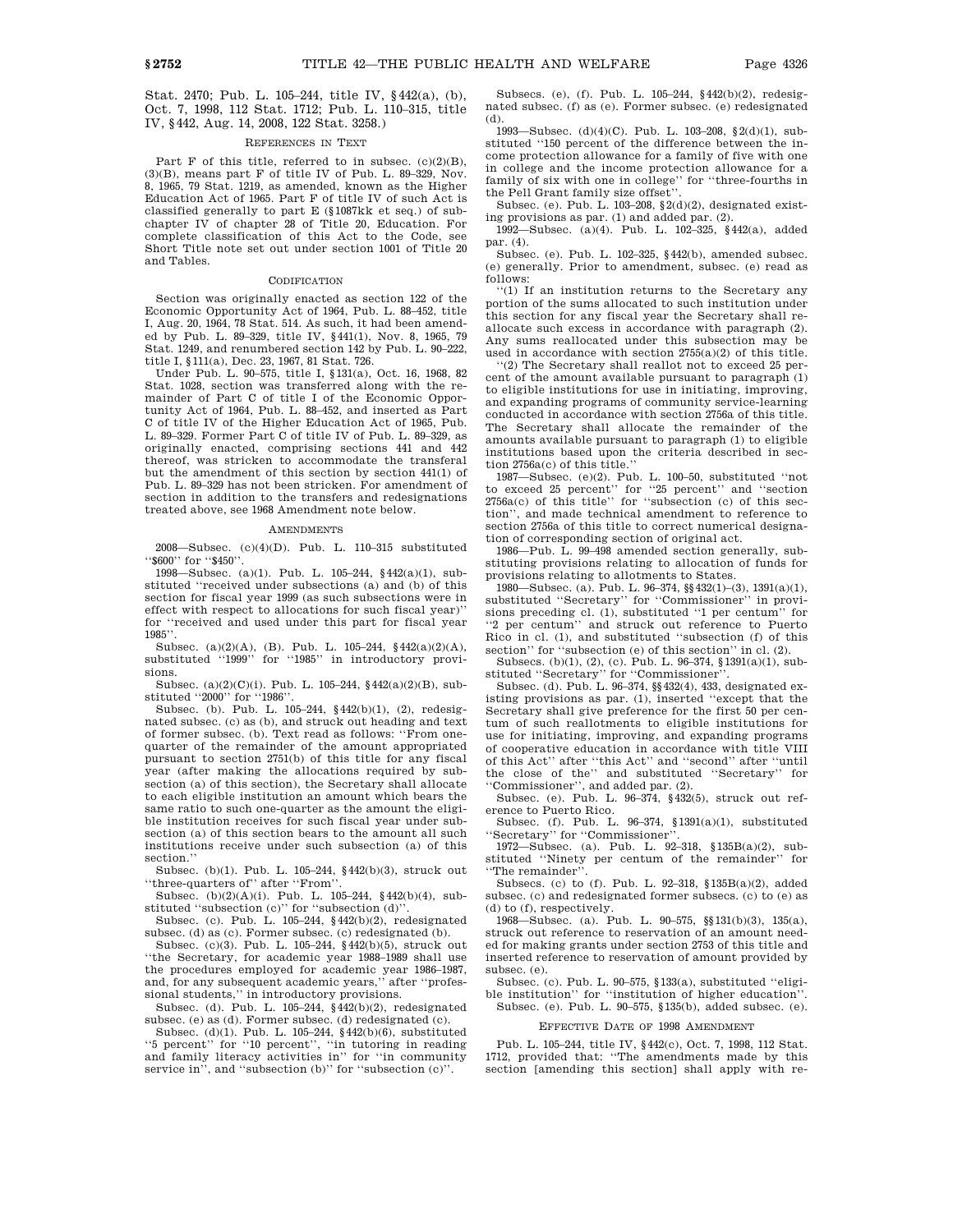Stat. 2470; Pub. L. 105–244, title IV, §442(a), (b), Oct. 7, 1998, 112 Stat. 1712; Pub. L. 110–315, title IV, §442, Aug. 14, 2008, 122 Stat. 3258.)

## REFERENCES IN TEXT

Part F of this title, referred to in subsec.  $(c)(2)(B)$ , (3)(B), means part F of title IV of Pub. L. 89–329, Nov. 8, 1965, 79 Stat. 1219, as amended, known as the Higher Education Act of 1965. Part F of title IV of such Act is classified generally to part E (§1087kk et seq.) of subchapter IV of chapter 28 of Title 20, Education. For complete classification of this Act to the Code, see Short Title note set out under section 1001 of Title 20 and Tables.

#### **CODIFICATION**

Section was originally enacted as section 122 of the Economic Opportunity Act of 1964, Pub. L. 88–452, title I, Aug. 20, 1964, 78 Stat. 514. As such, it had been amended by Pub. L. 89–329, title IV, §441(1), Nov. 8, 1965, 79 Stat. 1249, and renumbered section 142 by Pub. L. 90–222, title I, §111(a), Dec. 23, 1967, 81 Stat. 726.

Under Pub. L. 90–575, title I, §131(a), Oct. 16, 1968, 82 Stat. 1028, section was transferred along with the remainder of Part C of title I of the Economic Opportunity Act of 1964, Pub. L. 88–452, and inserted as Part C of title IV of the Higher Education Act of 1965, Pub. L. 89–329. Former Part C of title IV of Pub. L. 89–329, as originally enacted, comprising sections 441 and 442 thereof, was stricken to accommodate the transferal but the amendment of this section by section 441(1) of Pub. L. 89–329 has not been stricken. For amendment of section in addition to the transfers and redesignations treated above, see 1968 Amendment note below.

### **AMENDMENTS**

2008—Subsec. (c)(4)(D). Pub. L. 110–315 substituted ''\$600'' for ''\$450''.

1998—Subsec. (a)(1). Pub. L. 105–244, §442(a)(1), substituted ''received under subsections (a) and (b) of this section for fiscal year 1999 (as such subsections were in effect with respect to allocations for such fiscal year)'' for ''received and used under this part for fiscal year 1985''.

Subsec. (a)(2)(A), (B). Pub. L. 105–244, §442(a)(2)(A), substituted "1999" for "1985" in introductory provisions.

Subsec. (a)(2)(C)(i). Pub. L. 105–244, §442(a)(2)(B), substituted ''2000'' for ''1986''.

Subsec. (b). Pub. L. 105–244, §442(b)(1), (2), redesignated subsec. (c) as (b), and struck out heading and text of former subsec. (b). Text read as follows: ''From onequarter of the remainder of the amount appropriated pursuant to section 2751(b) of this title for any fiscal year (after making the allocations required by subsection (a) of this section), the Secretary shall allocate to each eligible institution an amount which bears the same ratio to such one-quarter as the amount the eligible institution receives for such fiscal year under subsection (a) of this section bears to the amount all such institutions receive under such subsection (a) of this section.''

Subsec. (b)(1). Pub. L. 105–244, §442(b)(3), struck out ''three-quarters of'' after ''From''.

Subsec. (b)(2)(A)(i). Pub. L. 105–244, §442(b)(4), substituted "subsection (c)" for "subsection (d)".

Subsec. (c). Pub. L. 105–244, §442(b)(2), redesignated subsec. (d) as (c). Former subsec. (c) redesignated (b).

Subsec. (c)(3). Pub. L. 105–244, §442(b)(5), struck out ''the Secretary, for academic year 1988–1989 shall use the procedures employed for academic year 1986–1987, and, for any subsequent academic years,'' after ''professional students,'' in introductory provisions.

Subsec. (d). Pub. L. 105–244, §442(b)(2), redesignated subsec. (e) as (d). Former subsec. (d) redesignated (c).

Subsec. (d)(1). Pub. L. 105–244,  $\S\,442(\mathrm{b})(6),$  substituted ''5 percent'' for ''10 percent'', ''in tutoring in reading and family literacy activities in'' for ''in community service in", and "subsection (b)" for "subsection (c)".

Subsecs. (e), (f). Pub. L. 105–244, §442(b)(2), redesignated subsec. (f) as (e). Former subsec. (e) redesignated (d).

1993—Subsec. (d)(4)(C). Pub. L. 103–208, §2(d)(1), substituted ''150 percent of the difference between the income protection allowance for a family of five with one in college and the income protection allowance for a family of six with one in college'' for ''three-fourths in the Pell Grant family size offset''.

Subsec. (e). Pub. L. 103–208, §2(d)(2), designated existing provisions as par. (1) and added par. (2).

1992—Subsec. (a)(4). Pub. L. 102–325, §442(a), added par. (4).

Subsec. (e). Pub. L. 102–325, §442(b), amended subsec. (e) generally. Prior to amendment, subsec. (e) read as follows:

''(1) If an institution returns to the Secretary any portion of the sums allocated to such institution under this section for any fiscal year the Secretary shall reallocate such excess in accordance with paragraph (2). Any sums reallocated under this subsection may be used in accordance with section 2755(a)(2) of this title.

''(2) The Secretary shall reallot not to exceed 25 percent of the amount available pursuant to paragraph (1) to eligible institutions for use in initiating, improving, and expanding programs of community service-learning conducted in accordance with section 2756a of this title. The Secretary shall allocate the remainder of the amounts available pursuant to paragraph (1) to eligible institutions based upon the criteria described in section 2756a(c) of this title.''

1987—Subsec. (e)(2). Pub. L. 100–50, substituted ''not to exceed 25 percent'' for ''25 percent'' and ''section 2756a(c) of this title'' for ''subsection (c) of this section'', and made technical amendment to reference to section 2756a of this title to correct numerical designation of corresponding section of original act.

1986—Pub. L. 99–498 amended section generally, substituting provisions relating to allocation of funds for provisions relating to allotments to States.

1980—Subsec. (a). Pub. L. 96–374, §§432(1)–(3), 1391(a)(1), substituted ''Secretary'' for ''Commissioner'' in provisions preceding cl. (1), substituted ''1 per centum'' for ''2 per centum'' and struck out reference to Puerto Rico in cl. (1), and substituted ''subsection (f) of this section'' for "subsection (e) of this section" in cl. (2).

Subsecs. (b)(1), (2), (c). Pub. L. 96–374, §1391(a)(1), substituted ''Secretary'' for ''Commissioner''.

Subsec. (d). Pub. L. 96–374, §§432(4), 433, designated existing provisions as par. (1), inserted ''except that the Secretary shall give preference for the first 50 per centum of such reallotments to eligible institutions for use for initiating, improving, and expanding programs of cooperative education in accordance with title VIII of this Act'' after ''this Act'' and ''second'' after ''until the close of the'' and substituted ''Secretary'' for

''Commissioner'', and added par. (2). Subsec. (e). Pub. L. 96–374, §432(5), struck out reference to Puerto Rico.

Subsec. (f). Pub. L. 96–374, §1391(a)(1), substituted 'Secretary'' for "Commissioner"

1972—Subsec. (a). Pub. L. 92–318, §135B(a)(2), substituted ''Ninety per centum of the remainder'' for ''The remainder''.

Subsecs. (c) to (f). Pub. L. 92–318, §135B(a)(2), added subsec. (c) and redesignated former subsecs. (c) to (e) as (d) to (f), respectively.

1968—Subsec. (a). Pub. L. 90–575, §§131(b)(3), 135(a), struck out reference to reservation of an amount needed for making grants under section 2753 of this title and inserted reference to reservation of amount provided by subsec. (e).

Subsec. (c). Pub. L. 90–575, §133(a), substituted ''eligible institution'' for ''institution of higher education''. Subsec. (e). Pub. L. 90–575, §135(b), added subsec. (e).

EFFECTIVE DATE OF 1998 AMENDMENT

Pub. L. 105–244, title IV, §442(c), Oct. 7, 1998, 112 Stat. 1712, provided that: ''The amendments made by this section [amending this section] shall apply with re